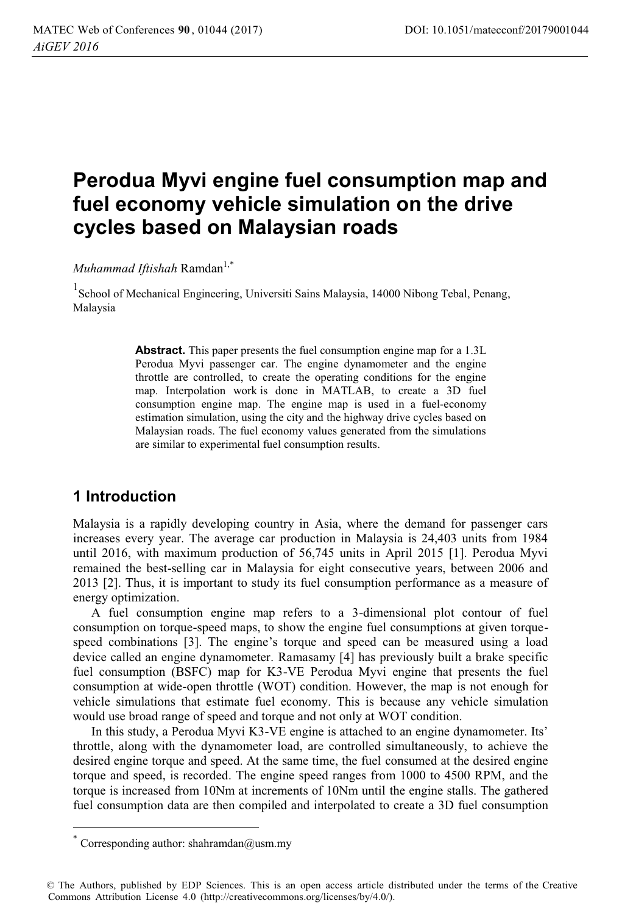# **Perodua Myvi engine fuel consumption map and fuel economy vehicle simulation on the drive cycles based on Malaysian roads**

*Muhammad Iftishah* Ramdan<sup>1,\*</sup>

1 School of Mechanical Engineering, Universiti Sains Malaysia, 14000 Nibong Tebal, Penang, Malaysia

> **Abstract.** This paper presents the fuel consumption engine map for a 1.3L Perodua Myvi passenger car. The engine dynamometer and the engine throttle are controlled, to create the operating conditions for the engine map. Interpolation work is done in MATLAB, to create a 3D fuel consumption engine map. The engine map is used in a fuel-economy estimation simulation, using the city and the highway drive cycles based on Malaysian roads. The fuel economy values generated from the simulations are similar to experimental fuel consumption results.

## **1 Introduction**

Malaysia is a rapidly developing country in Asia, where the demand for passenger cars increases every year. The average car production in Malaysia is 24,403 units from 1984 until 2016, with maximum production of 56,745 units in April 2015 [1]. Perodua Myvi remained the best-selling car in Malaysia for eight consecutive years, between 2006 and 2013 [2]. Thus, it is important to study its fuel consumption performance as a measure of energy optimization.

A fuel consumption engine map refers to a 3-dimensional plot contour of fuel consumption on torque-speed maps, to show the engine fuel consumptions at given torquespeed combinations [3]. The engine's torque and speed can be measured using a load device called an engine dynamometer. Ramasamy [4] has previously built a brake specific fuel consumption (BSFC) map for K3-VE Perodua Myvi engine that presents the fuel consumption at wide-open throttle (WOT) condition. However, the map is not enough for vehicle simulations that estimate fuel economy. This is because any vehicle simulation would use broad range of speed and torque and not only at WOT condition.

In this study, a Perodua Myvi K3-VE engine is attached to an engine dynamometer. Its' throttle, along with the dynamometer load, are controlled simultaneously, to achieve the desired engine torque and speed. At the same time, the fuel consumed at the desired engine torque and speed, is recorded. The engine speed ranges from 1000 to 4500 RPM, and the torque is increased from 10Nm at increments of 10Nm until the engine stalls. The gathered fuel consumption data are then compiled and interpolated to create a 3D fuel consumption

 $\overline{a}$ 

Corresponding author: shahramdan@usm.my

<sup>©</sup> The Authors, published by EDP Sciences. This is an open access article distributed under the terms of the Creative Commons Attribution License 4.0 (http://creativecommons.org/licenses/by/4.0/).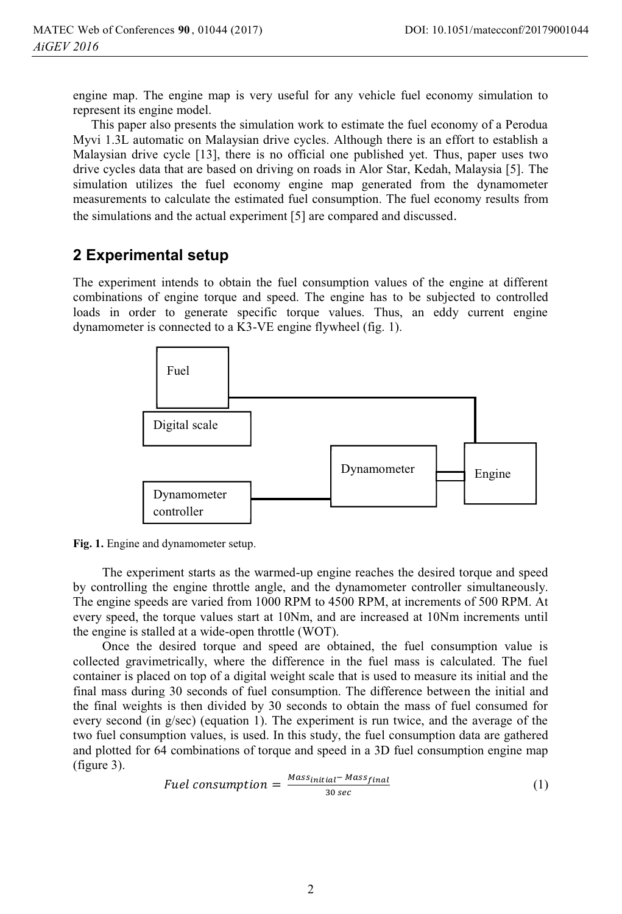engine map. The engine map is very useful for any vehicle fuel economy simulation to represent its engine model.

This paper also presents the simulation work to estimate the fuel economy of a Perodua Myvi 1.3L automatic on Malaysian drive cycles. Although there is an effort to establish a Malaysian drive cycle [13], there is no official one published yet. Thus, paper uses two drive cycles data that are based on driving on roads in Alor Star, Kedah, Malaysia [5]. The simulation utilizes the fuel economy engine map generated from the dynamometer measurements to calculate the estimated fuel consumption. The fuel economy results from the simulations and the actual experiment [5] are compared and discussed.

### **2 Experimental setup**

The experiment intends to obtain the fuel consumption values of the engine at different combinations of engine torque and speed. The engine has to be subjected to controlled loads in order to generate specific torque values. Thus, an eddy current engine dynamometer is connected to a K3-VE engine flywheel (fig. 1).





 The experiment starts as the warmed-up engine reaches the desired torque and speed by controlling the engine throttle angle, and the dynamometer controller simultaneously. The engine speeds are varied from 1000 RPM to 4500 RPM, at increments of 500 RPM. At every speed, the torque values start at 10Nm, and are increased at 10Nm increments until the engine is stalled at a wide-open throttle (WOT).

 Once the desired torque and speed are obtained, the fuel consumption value is collected gravimetrically, where the difference in the fuel mass is calculated. The fuel container is placed on top of a digital weight scale that is used to measure its initial and the final mass during 30 seconds of fuel consumption. The difference between the initial and the final weights is then divided by 30 seconds to obtain the mass of fuel consumed for every second (in g/sec) (equation 1). The experiment is run twice, and the average of the two fuel consumption values, is used. In this study, the fuel consumption data are gathered and plotted for 64 combinations of torque and speed in a 3D fuel consumption engine map (figure 3).

$$
Full consumption = \frac{Mass_{initial} - Mass_{final}}{30 \sec}
$$
 (1)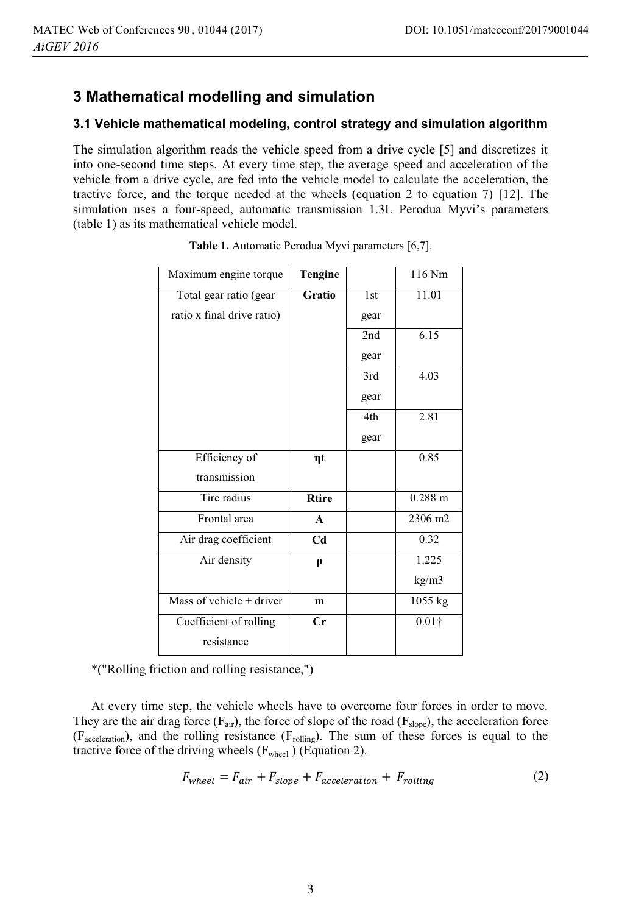# **3 Mathematical modelling and simulation**

#### **3.1 Vehicle mathematical modeling, control strategy and simulation algorithm**

The simulation algorithm reads the vehicle speed from a drive cycle [5] and discretizes it into one-second time steps. At every time step, the average speed and acceleration of the vehicle from a drive cycle, are fed into the vehicle model to calculate the acceleration, the tractive force, and the torque needed at the wheels (equation 2 to equation 7) [12]. The simulation uses a four-speed, automatic transmission 1.3L Perodua Myvi's parameters (table 1) as its mathematical vehicle model.

| Maximum engine torque      | <b>Tengine</b> |      | 116 Nm        |
|----------------------------|----------------|------|---------------|
| Total gear ratio (gear     | <b>Gratio</b>  | 1st  | 11.01         |
| ratio x final drive ratio) |                | gear |               |
|                            |                | 2nd  | 6.15          |
|                            |                | gear |               |
|                            |                | 3rd  | 4.03          |
|                            |                | gear |               |
|                            |                | 4th  | 2.81          |
|                            |                | gear |               |
| Efficiency of              | $\eta t$       |      | 0.85          |
| transmission               |                |      |               |
| Tire radius                | <b>Rtire</b>   |      | $0.288$ m     |
| Frontal area               | $\mathbf{A}$   |      | 2306 m2       |
| Air drag coefficient       | C <sub>d</sub> |      | 0.32          |
| Air density                | ρ              |      | 1.225         |
|                            |                |      | kg/m3         |
| Mass of vehicle $+$ driver | m              |      | 1055 kg       |
| Coefficient of rolling     | Cr             |      | $0.01\dagger$ |
| resistance                 |                |      |               |

**Table 1.** Automatic Perodua Myvi parameters [6,7].

\*("Rolling friction and rolling resistance,")

At every time step, the vehicle wheels have to overcome four forces in order to move. They are the air drag force ( $F_{air}$ ), the force of slope of the road ( $F_{slope}$ ), the acceleration force  $(F_{\text{acceleration}})$ , and the rolling resistance  $(F_{\text{rolling}})$ . The sum of these forces is equal to the tractive force of the driving wheels  $(F_{wheel})$  (Equation 2).

$$
F_{wheel} = F_{air} + F_{slope} + F_{acceleration} + F_{rolling}
$$
 (2)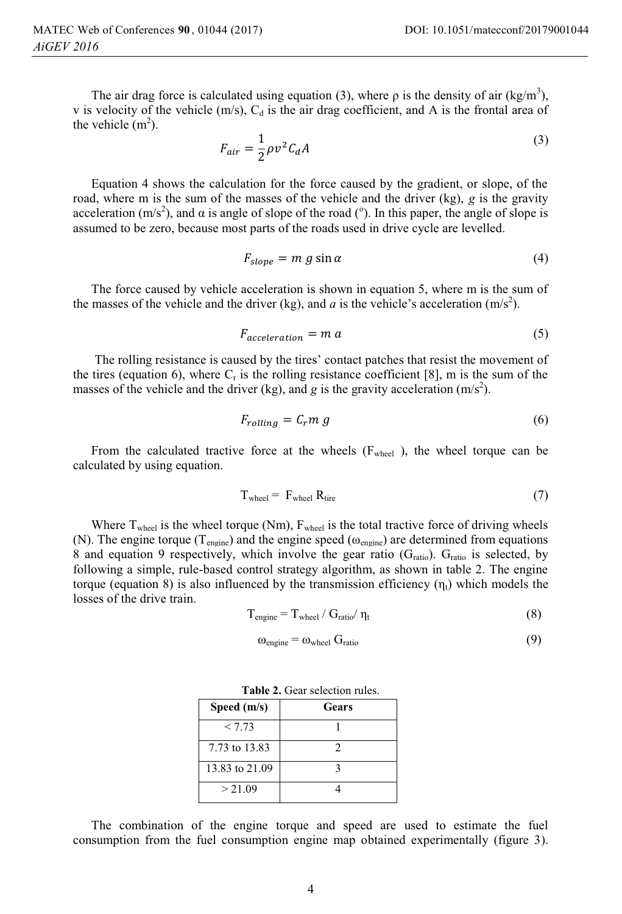The air drag force is calculated using equation (3), where  $\rho$  is the density of air (kg/m<sup>3</sup>), v is velocity of the vehicle (m/s),  $C_d$  is the air drag coefficient, and A is the frontal area of the vehicle  $(m^2)$ .

$$
F_{air} = \frac{1}{2} \rho v^2 C_d A \tag{3}
$$

Equation 4 shows the calculation for the force caused by the gradient, or slope, of the road, where m is the sum of the masses of the vehicle and the driver (kg), *g* is the gravity acceleration (m/s<sup>2</sup>), and  $\alpha$  is angle of slope of the road (°). In this paper, the angle of slope is assumed to be zero, because most parts of the roads used in drive cycle are levelled.

$$
F_{slope} = m g \sin \alpha \tag{4}
$$

The force caused by vehicle acceleration is shown in equation 5, where m is the sum of the masses of the vehicle and the driver (kg), and  $a$  is the vehicle's acceleration  $(m/s<sup>2</sup>)$ .

$$
F_{acceleration} = m \, a \tag{5}
$$

The rolling resistance is caused by the tires' contact patches that resist the movement of the tires (equation 6), where  $C_r$  is the rolling resistance coefficient [8], m is the sum of the masses of the vehicle and the driver (kg), and *g* is the gravity acceleration  $(m/s<sup>2</sup>)$ .

$$
F_{rolling} = C_r m g \tag{6}
$$

From the calculated tractive force at the wheels  $(F_{wheel})$ , the wheel torque can be calculated by using equation.

$$
T_{\text{wheel}} = F_{\text{wheel}} R_{\text{tire}} \tag{7}
$$

Where  $T_{wheel}$  is the wheel torque (Nm),  $F_{wheel}$  is the total tractive force of driving wheels (N). The engine torque ( $T_{\text{engine}}$ ) and the engine speed ( $\omega_{\text{engine}}$ ) are determined from equations 8 and equation 9 respectively, which involve the gear ratio  $(G<sub>ratio</sub>)$ .  $G<sub>ratio</sub>$  is selected, by following a simple, rule-based control strategy algorithm, as shown in table 2. The engine torque (equation 8) is also influenced by the transmission efficiency  $(\eta_t)$  which models the losses of the drive train.

$$
T_{engine} = T_{wheel} / G_{ratio} / \eta_t
$$
 (8)

$$
\omega_{\text{engine}} = \omega_{\text{wheel}} G_{\text{ratio}} \tag{9}
$$

| Speed $(m/s)$  | Gears |
|----------------|-------|
| < 7.73         |       |
| 7.73 to 13.83  |       |
| 13.83 to 21.09 |       |
| > 21.09        |       |

| <b>Table 2.</b> Gear selection rules. |
|---------------------------------------|
|---------------------------------------|

The combination of the engine torque and speed are used to estimate the fuel consumption from the fuel consumption engine map obtained experimentally (figure 3).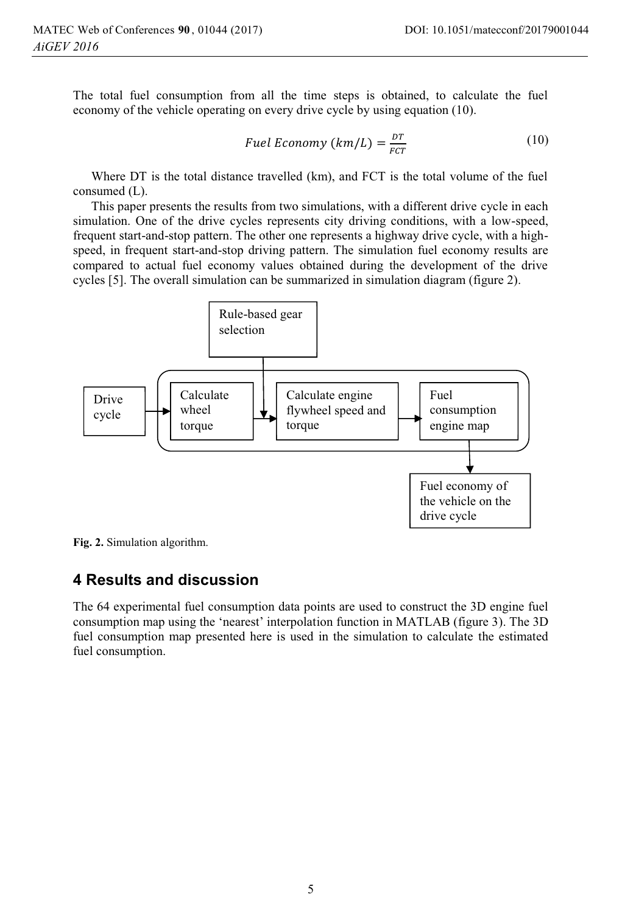The total fuel consumption from all the time steps is obtained, to calculate the fuel economy of the vehicle operating on every drive cycle by using equation (10).

$$
Full Economy (km/L) = \frac{DT}{FCT}
$$
 (10)

Where DT is the total distance travelled (km), and FCT is the total volume of the fuel consumed (L).

This paper presents the results from two simulations, with a different drive cycle in each simulation. One of the drive cycles represents city driving conditions, with a low-speed, frequent start-and-stop pattern. The other one represents a highway drive cycle, with a highspeed, in frequent start-and-stop driving pattern. The simulation fuel economy results are compared to actual fuel economy values obtained during the development of the drive cycles [5]. The overall simulation can be summarized in simulation diagram (figure 2).



**Fig. 2.** Simulation algorithm.

# **4 Results and discussion**

The 64 experimental fuel consumption data points are used to construct the 3D engine fuel consumption map using the 'nearest' interpolation function in MATLAB (figure 3). The 3D fuel consumption map presented here is used in the simulation to calculate the estimated fuel consumption.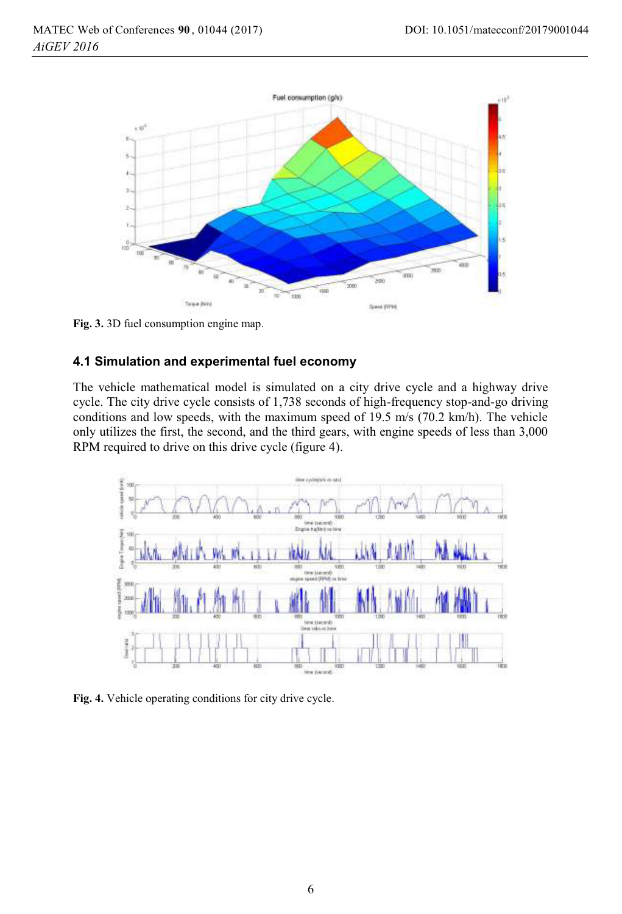



### **4.1 Simulation and experimental fuel economy**

The vehicle mathematical model is simulated on a city drive cycle and a highway drive cycle. The city drive cycle consists of 1,738 seconds of high-frequency stop-and-go driving conditions and low speeds, with the maximum speed of 19.5 m/s (70.2 km/h). The vehicle only utilizes the first, the second, and the third gears, with engine speeds of less than 3,000 RPM required to drive on this drive cycle (figure 4).



**Fig. 4.** Vehicle operating conditions for city drive cycle.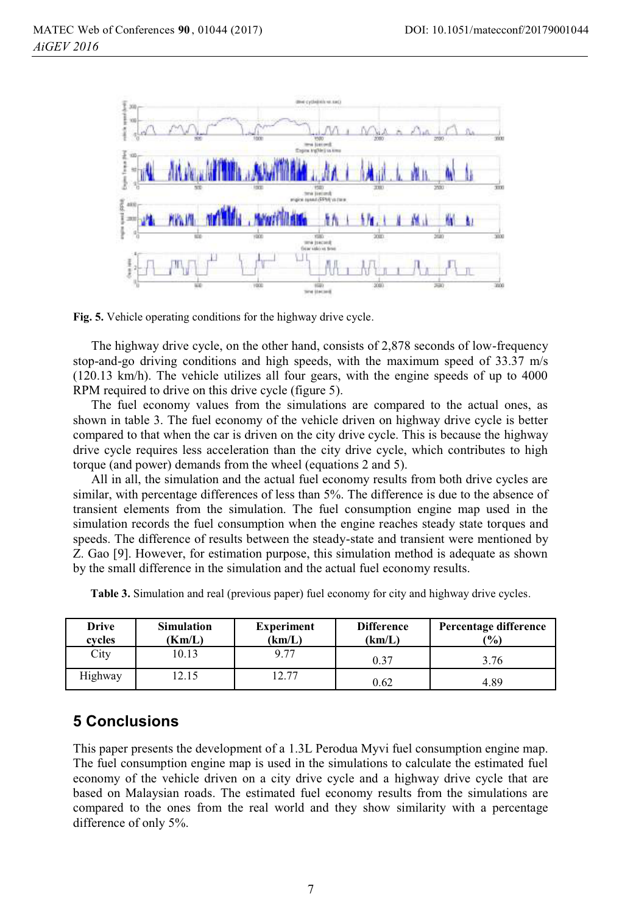

**Fig. 5.** Vehicle operating conditions for the highway drive cycle.

The highway drive cycle, on the other hand, consists of 2,878 seconds of low-frequency stop-and-go driving conditions and high speeds, with the maximum speed of 33.37 m/s (120.13 km/h). The vehicle utilizes all four gears, with the engine speeds of up to 4000 RPM required to drive on this drive cycle (figure 5).

The fuel economy values from the simulations are compared to the actual ones, as shown in table 3. The fuel economy of the vehicle driven on highway drive cycle is better compared to that when the car is driven on the city drive cycle. This is because the highway drive cycle requires less acceleration than the city drive cycle, which contributes to high torque (and power) demands from the wheel (equations 2 and 5).

All in all, the simulation and the actual fuel economy results from both drive cycles are similar, with percentage differences of less than 5%. The difference is due to the absence of transient elements from the simulation. The fuel consumption engine map used in the simulation records the fuel consumption when the engine reaches steady state torques and speeds. The difference of results between the steady-state and transient were mentioned by Z. Gao [9]. However, for estimation purpose, this simulation method is adequate as shown by the small difference in the simulation and the actual fuel economy results.

| <b>Drive</b><br>cycles | <b>Simulation</b><br>(Km/L) | <b>Experiment</b><br>(km/L) | <b>Difference</b><br>(km/L) | Percentage difference<br>$\frac{(0)}{0}$ |
|------------------------|-----------------------------|-----------------------------|-----------------------------|------------------------------------------|
| City                   | 10.13                       | 9.77                        | 0.37                        | 3.76                                     |
| Highway                | 12.15                       | 12.77                       | 0.62                        | 4.89                                     |

**Table 3.** Simulation and real (previous paper) fuel economy for city and highway drive cycles.

### **5 Conclusions**

This paper presents the development of a 1.3L Perodua Myvi fuel consumption engine map. The fuel consumption engine map is used in the simulations to calculate the estimated fuel economy of the vehicle driven on a city drive cycle and a highway drive cycle that are based on Malaysian roads. The estimated fuel economy results from the simulations are compared to the ones from the real world and they show similarity with a percentage difference of only 5%.